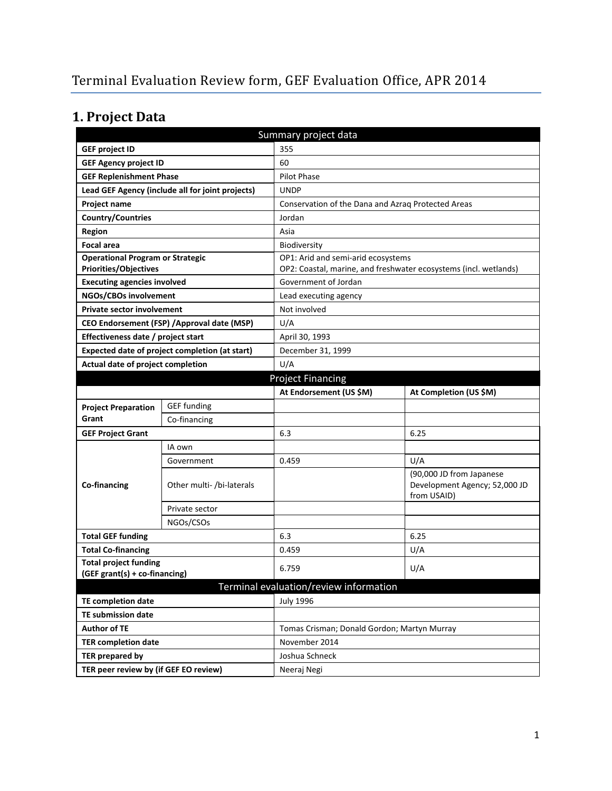# **1. Project Data**

| Summary project data                                                                |                                                  |                                                                  |                                                                          |  |  |
|-------------------------------------------------------------------------------------|--------------------------------------------------|------------------------------------------------------------------|--------------------------------------------------------------------------|--|--|
| <b>GEF project ID</b>                                                               |                                                  | 355                                                              |                                                                          |  |  |
| <b>GEF Agency project ID</b>                                                        |                                                  | 60                                                               |                                                                          |  |  |
| <b>GEF Replenishment Phase</b>                                                      |                                                  | <b>Pilot Phase</b>                                               |                                                                          |  |  |
|                                                                                     | Lead GEF Agency (include all for joint projects) | <b>UNDP</b>                                                      |                                                                          |  |  |
| Project name                                                                        |                                                  |                                                                  | Conservation of the Dana and Azraq Protected Areas                       |  |  |
| Country/Countries                                                                   |                                                  | Jordan                                                           |                                                                          |  |  |
| <b>Region</b>                                                                       |                                                  | Asia                                                             |                                                                          |  |  |
| <b>Focal area</b>                                                                   |                                                  | Biodiversity                                                     |                                                                          |  |  |
| <b>Operational Program or Strategic</b>                                             |                                                  | OP1: Arid and semi-arid ecosystems                               |                                                                          |  |  |
| <b>Priorities/Objectives</b>                                                        |                                                  | OP2: Coastal, marine, and freshwater ecosystems (incl. wetlands) |                                                                          |  |  |
| <b>Executing agencies involved</b>                                                  |                                                  | Government of Jordan                                             |                                                                          |  |  |
| NGOs/CBOs involvement                                                               |                                                  |                                                                  | Lead executing agency                                                    |  |  |
| <b>Private sector involvement</b>                                                   |                                                  | Not involved                                                     |                                                                          |  |  |
| CEO Endorsement (FSP) / Approval date (MSP)                                         |                                                  |                                                                  | U/A                                                                      |  |  |
| Effectiveness date / project start                                                  |                                                  | April 30, 1993                                                   |                                                                          |  |  |
| Expected date of project completion (at start)<br>Actual date of project completion |                                                  | December 31, 1999<br>U/A                                         |                                                                          |  |  |
|                                                                                     |                                                  | <b>Project Financing</b>                                         |                                                                          |  |  |
|                                                                                     |                                                  | At Endorsement (US \$M)                                          | At Completion (US \$M)                                                   |  |  |
|                                                                                     | <b>GEF</b> funding                               |                                                                  |                                                                          |  |  |
| <b>Project Preparation</b><br>Grant                                                 | Co-financing                                     |                                                                  |                                                                          |  |  |
| <b>GEF Project Grant</b>                                                            |                                                  | 6.3                                                              | 6.25                                                                     |  |  |
|                                                                                     | IA own                                           |                                                                  |                                                                          |  |  |
|                                                                                     | Government                                       | 0.459                                                            | U/A                                                                      |  |  |
| Co-financing                                                                        | Other multi- /bi-laterals                        |                                                                  | (90,000 JD from Japanese<br>Development Agency; 52,000 JD<br>from USAID) |  |  |
|                                                                                     | Private sector                                   |                                                                  |                                                                          |  |  |
|                                                                                     | NGOs/CSOs                                        |                                                                  |                                                                          |  |  |
| <b>Total GEF funding</b>                                                            |                                                  | 6.3                                                              | 6.25                                                                     |  |  |
| <b>Total Co-financing</b>                                                           |                                                  | 0.459                                                            | U/A                                                                      |  |  |
| <b>Total project funding</b>                                                        |                                                  | 6.759                                                            | U/A                                                                      |  |  |
| (GEF grant(s) + co-financing)                                                       |                                                  |                                                                  |                                                                          |  |  |
|                                                                                     |                                                  | Terminal evaluation/review information                           |                                                                          |  |  |
| <b>TE completion date</b>                                                           |                                                  | <b>July 1996</b>                                                 |                                                                          |  |  |
| TE submission date                                                                  |                                                  |                                                                  |                                                                          |  |  |
| <b>Author of TE</b>                                                                 |                                                  | Tomas Crisman; Donald Gordon; Martyn Murray                      |                                                                          |  |  |
| <b>TER completion date</b>                                                          |                                                  | November 2014                                                    |                                                                          |  |  |
| <b>TER prepared by</b>                                                              |                                                  | Joshua Schneck                                                   |                                                                          |  |  |
| TER peer review by (if GEF EO review)                                               |                                                  | Neeraj Negi                                                      |                                                                          |  |  |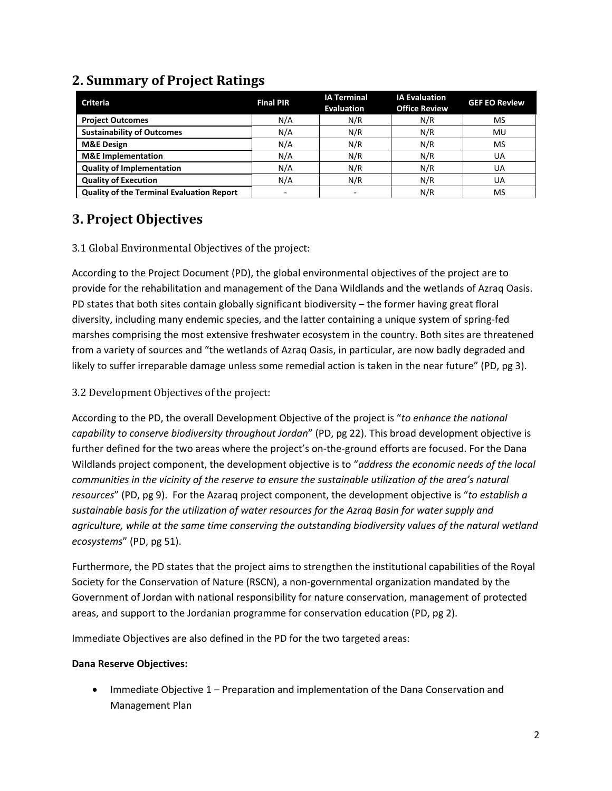| <b>Criteria</b>                                  | <b>Final PIR</b>         | <b>IA Terminal</b><br><b>Evaluation</b> | <b>IA Evaluation</b><br><b>Office Review</b> | <b>GEF EO Review</b> |
|--------------------------------------------------|--------------------------|-----------------------------------------|----------------------------------------------|----------------------|
| <b>Project Outcomes</b>                          | N/A                      | N/R                                     | N/R                                          | MS                   |
| <b>Sustainability of Outcomes</b>                | N/A                      | N/R                                     | N/R                                          | MU                   |
| <b>M&amp;E Design</b>                            | N/A                      | N/R                                     | N/R                                          | MS                   |
| <b>M&amp;E</b> Implementation                    | N/A                      | N/R                                     | N/R                                          | UA                   |
| <b>Quality of Implementation</b>                 | N/A                      | N/R                                     | N/R                                          | UA                   |
| <b>Quality of Execution</b>                      | N/A                      | N/R                                     | N/R                                          | UA                   |
| <b>Quality of the Terminal Evaluation Report</b> | $\overline{\phantom{a}}$ |                                         | N/R                                          | MS                   |

## **2. Summary of Project Ratings**

## **3. Project Objectives**

### 3.1 Global Environmental Objectives of the project:

According to the Project Document (PD), the global environmental objectives of the project are to provide for the rehabilitation and management of the Dana Wildlands and the wetlands of Azraq Oasis. PD states that both sites contain globally significant biodiversity – the former having great floral diversity, including many endemic species, and the latter containing a unique system of spring-fed marshes comprising the most extensive freshwater ecosystem in the country. Both sites are threatened from a variety of sources and "the wetlands of Azraq Oasis, in particular, are now badly degraded and likely to suffer irreparable damage unless some remedial action is taken in the near future" (PD, pg 3).

### 3.2 Development Objectives of the project:

According to the PD, the overall Development Objective of the project is "*to enhance the national capability to conserve biodiversity throughout Jordan*" (PD, pg 22). This broad development objective is further defined for the two areas where the project's on-the-ground efforts are focused. For the Dana Wildlands project component, the development objective is to "*address the economic needs of the local communities in the vicinity of the reserve to ensure the sustainable utilization of the area's natural resources*" (PD, pg 9). For the Azaraq project component, the development objective is "*to establish a sustainable basis for the utilization of water resources for the Azraq Basin for water supply and agriculture, while at the same time conserving the outstanding biodiversity values of the natural wetland ecosystems*" (PD, pg 51).

Furthermore, the PD states that the project aims to strengthen the institutional capabilities of the Royal Society for the Conservation of Nature (RSCN), a non-governmental organization mandated by the Government of Jordan with national responsibility for nature conservation, management of protected areas, and support to the Jordanian programme for conservation education (PD, pg 2).

Immediate Objectives are also defined in the PD for the two targeted areas:

### **Dana Reserve Objectives:**

• Immediate Objective 1 – Preparation and implementation of the Dana Conservation and Management Plan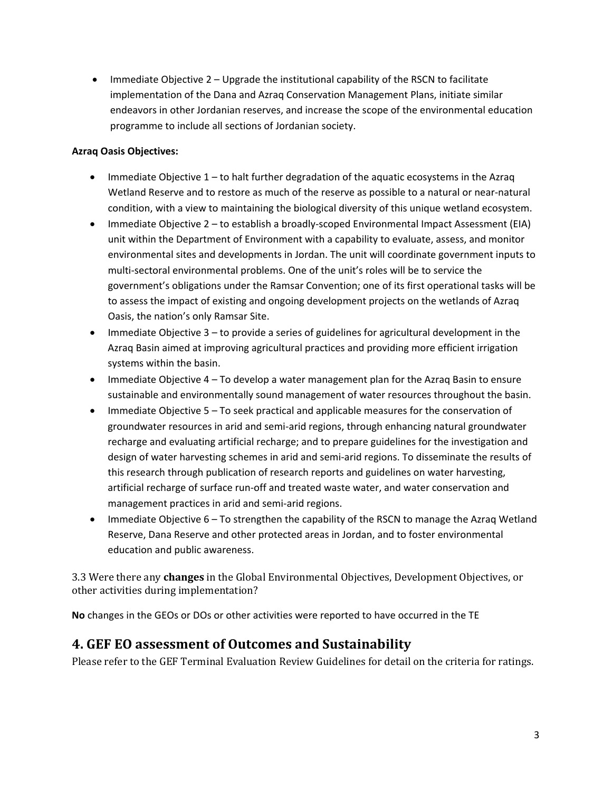• Immediate Objective 2 – Upgrade the institutional capability of the RSCN to facilitate implementation of the Dana and Azraq Conservation Management Plans, initiate similar endeavors in other Jordanian reserves, and increase the scope of the environmental education programme to include all sections of Jordanian society.

#### **Azraq Oasis Objectives:**

- Immediate Objective  $1$  to halt further degradation of the aquatic ecosystems in the Azraq Wetland Reserve and to restore as much of the reserve as possible to a natural or near-natural condition, with a view to maintaining the biological diversity of this unique wetland ecosystem.
- Immediate Objective 2 to establish a broadly-scoped Environmental Impact Assessment (EIA) unit within the Department of Environment with a capability to evaluate, assess, and monitor environmental sites and developments in Jordan. The unit will coordinate government inputs to multi-sectoral environmental problems. One of the unit's roles will be to service the government's obligations under the Ramsar Convention; one of its first operational tasks will be to assess the impact of existing and ongoing development projects on the wetlands of Azraq Oasis, the nation's only Ramsar Site.
- Immediate Objective 3 to provide a series of guidelines for agricultural development in the Azraq Basin aimed at improving agricultural practices and providing more efficient irrigation systems within the basin.
- Immediate Objective 4 To develop a water management plan for the Azraq Basin to ensure sustainable and environmentally sound management of water resources throughout the basin.
- Immediate Objective 5 To seek practical and applicable measures for the conservation of groundwater resources in arid and semi-arid regions, through enhancing natural groundwater recharge and evaluating artificial recharge; and to prepare guidelines for the investigation and design of water harvesting schemes in arid and semi-arid regions. To disseminate the results of this research through publication of research reports and guidelines on water harvesting, artificial recharge of surface run-off and treated waste water, and water conservation and management practices in arid and semi-arid regions.
- Immediate Objective 6 To strengthen the capability of the RSCN to manage the Azraq Wetland Reserve, Dana Reserve and other protected areas in Jordan, and to foster environmental education and public awareness.

3.3 Were there any **changes** in the Global Environmental Objectives, Development Objectives, or other activities during implementation?

**No** changes in the GEOs or DOs or other activities were reported to have occurred in the TE

### **4. GEF EO assessment of Outcomes and Sustainability**

Please refer to the GEF Terminal Evaluation Review Guidelines for detail on the criteria for ratings.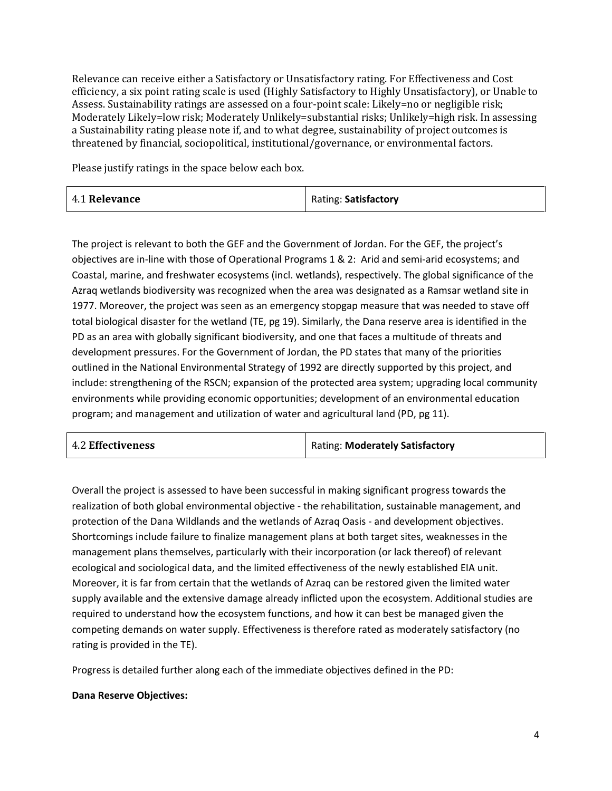Relevance can receive either a Satisfactory or Unsatisfactory rating. For Effectiveness and Cost efficiency, a six point rating scale is used (Highly Satisfactory to Highly Unsatisfactory), or Unable to Assess. Sustainability ratings are assessed on a four-point scale: Likely=no or negligible risk; Moderately Likely=low risk; Moderately Unlikely=substantial risks; Unlikely=high risk. In assessing a Sustainability rating please note if, and to what degree, sustainability of project outcomes is threatened by financial, sociopolitical, institutional/governance, or environmental factors.

Please justify ratings in the space below each box.

| 4.1 Relevance | Rating: Satisfactory |
|---------------|----------------------|
|---------------|----------------------|

The project is relevant to both the GEF and the Government of Jordan. For the GEF, the project's objectives are in-line with those of Operational Programs 1 & 2: Arid and semi-arid ecosystems; and Coastal, marine, and freshwater ecosystems (incl. wetlands), respectively. The global significance of the Azraq wetlands biodiversity was recognized when the area was designated as a Ramsar wetland site in 1977. Moreover, the project was seen as an emergency stopgap measure that was needed to stave off total biological disaster for the wetland (TE, pg 19). Similarly, the Dana reserve area is identified in the PD as an area with globally significant biodiversity, and one that faces a multitude of threats and development pressures. For the Government of Jordan, the PD states that many of the priorities outlined in the National Environmental Strategy of 1992 are directly supported by this project, and include: strengthening of the RSCN; expansion of the protected area system; upgrading local community environments while providing economic opportunities; development of an environmental education program; and management and utilization of water and agricultural land (PD, pg 11).

| <b>4.2 Effectiveness</b> | Rating: Moderately Satisfactory |
|--------------------------|---------------------------------|
|--------------------------|---------------------------------|

Overall the project is assessed to have been successful in making significant progress towards the realization of both global environmental objective - the rehabilitation, sustainable management, and protection of the Dana Wildlands and the wetlands of Azraq Oasis - and development objectives. Shortcomings include failure to finalize management plans at both target sites, weaknesses in the management plans themselves, particularly with their incorporation (or lack thereof) of relevant ecological and sociological data, and the limited effectiveness of the newly established EIA unit. Moreover, it is far from certain that the wetlands of Azraq can be restored given the limited water supply available and the extensive damage already inflicted upon the ecosystem. Additional studies are required to understand how the ecosystem functions, and how it can best be managed given the competing demands on water supply. Effectiveness is therefore rated as moderately satisfactory (no rating is provided in the TE).

Progress is detailed further along each of the immediate objectives defined in the PD:

#### **Dana Reserve Objectives:**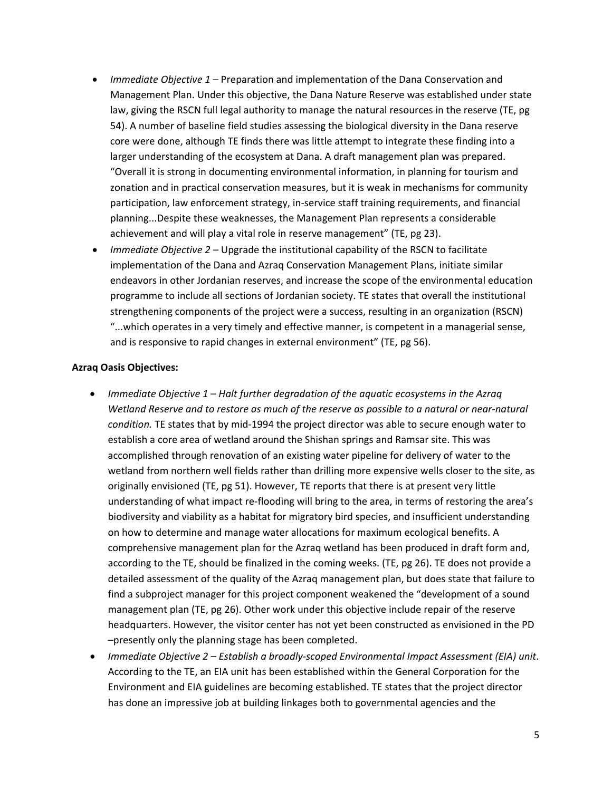- *Immediate Objective 1* Preparation and implementation of the Dana Conservation and Management Plan. Under this objective, the Dana Nature Reserve was established under state law, giving the RSCN full legal authority to manage the natural resources in the reserve (TE, pg 54). A number of baseline field studies assessing the biological diversity in the Dana reserve core were done, although TE finds there was little attempt to integrate these finding into a larger understanding of the ecosystem at Dana. A draft management plan was prepared. "Overall it is strong in documenting environmental information, in planning for tourism and zonation and in practical conservation measures, but it is weak in mechanisms for community participation, law enforcement strategy, in-service staff training requirements, and financial planning...Despite these weaknesses, the Management Plan represents a considerable achievement and will play a vital role in reserve management" (TE, pg 23).
- *Immediate Objective 2* Upgrade the institutional capability of the RSCN to facilitate implementation of the Dana and Azraq Conservation Management Plans, initiate similar endeavors in other Jordanian reserves, and increase the scope of the environmental education programme to include all sections of Jordanian society. TE states that overall the institutional strengthening components of the project were a success, resulting in an organization (RSCN) "...which operates in a very timely and effective manner, is competent in a managerial sense, and is responsive to rapid changes in external environment" (TE, pg 56).

#### **Azraq Oasis Objectives:**

- *Immediate Objective 1 Halt further degradation of the aquatic ecosystems in the Azraq Wetland Reserve and to restore as much of the reserve as possible to a natural or near-natural condition.* TE states that by mid-1994 the project director was able to secure enough water to establish a core area of wetland around the Shishan springs and Ramsar site. This was accomplished through renovation of an existing water pipeline for delivery of water to the wetland from northern well fields rather than drilling more expensive wells closer to the site, as originally envisioned (TE, pg 51). However, TE reports that there is at present very little understanding of what impact re-flooding will bring to the area, in terms of restoring the area's biodiversity and viability as a habitat for migratory bird species, and insufficient understanding on how to determine and manage water allocations for maximum ecological benefits. A comprehensive management plan for the Azraq wetland has been produced in draft form and, according to the TE, should be finalized in the coming weeks. (TE, pg 26). TE does not provide a detailed assessment of the quality of the Azraq management plan, but does state that failure to find a subproject manager for this project component weakened the "development of a sound management plan (TE, pg 26). Other work under this objective include repair of the reserve headquarters. However, the visitor center has not yet been constructed as envisioned in the PD –presently only the planning stage has been completed.
- *Immediate Objective 2 Establish a broadly-scoped Environmental Impact Assessment (EIA) unit*. According to the TE, an EIA unit has been established within the General Corporation for the Environment and EIA guidelines are becoming established. TE states that the project director has done an impressive job at building linkages both to governmental agencies and the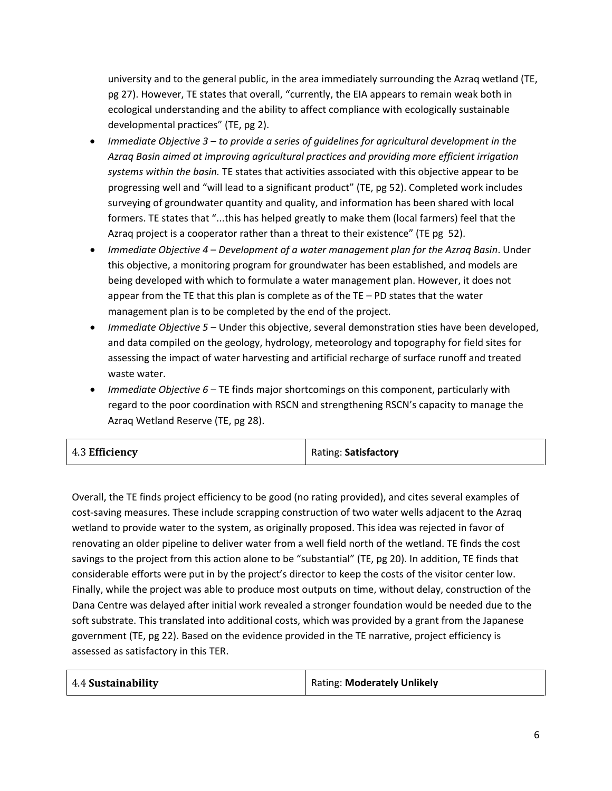university and to the general public, in the area immediately surrounding the Azraq wetland (TE, pg 27). However, TE states that overall, "currently, the EIA appears to remain weak both in ecological understanding and the ability to affect compliance with ecologically sustainable developmental practices" (TE, pg 2).

- *Immediate Objective 3 to provide a series of guidelines for agricultural development in the Azraq Basin aimed at improving agricultural practices and providing more efficient irrigation systems within the basin.* TE states that activities associated with this objective appear to be progressing well and "will lead to a significant product" (TE, pg 52). Completed work includes surveying of groundwater quantity and quality, and information has been shared with local formers. TE states that "...this has helped greatly to make them (local farmers) feel that the Azraq project is a cooperator rather than a threat to their existence" (TE pg 52).
- *Immediate Objective 4 Development of a water management plan for the Azraq Basin*. Under this objective, a monitoring program for groundwater has been established, and models are being developed with which to formulate a water management plan. However, it does not appear from the TE that this plan is complete as of the TE – PD states that the water management plan is to be completed by the end of the project.
- *Immediate Objective 5* Under this objective, several demonstration sties have been developed, and data compiled on the geology, hydrology, meteorology and topography for field sites for assessing the impact of water harvesting and artificial recharge of surface runoff and treated waste water.
- *Immediate Objective 6* TE finds major shortcomings on this component, particularly with regard to the poor coordination with RSCN and strengthening RSCN's capacity to manage the Azraq Wetland Reserve (TE, pg 28).

| 4.3 Efficiency | Rating: Satisfactory |
|----------------|----------------------|
|----------------|----------------------|

Overall, the TE finds project efficiency to be good (no rating provided), and cites several examples of cost-saving measures. These include scrapping construction of two water wells adjacent to the Azraq wetland to provide water to the system, as originally proposed. This idea was rejected in favor of renovating an older pipeline to deliver water from a well field north of the wetland. TE finds the cost savings to the project from this action alone to be "substantial" (TE, pg 20). In addition, TE finds that considerable efforts were put in by the project's director to keep the costs of the visitor center low. Finally, while the project was able to produce most outputs on time, without delay, construction of the Dana Centre was delayed after initial work revealed a stronger foundation would be needed due to the soft substrate. This translated into additional costs, which was provided by a grant from the Japanese government (TE, pg 22). Based on the evidence provided in the TE narrative, project efficiency is assessed as satisfactory in this TER.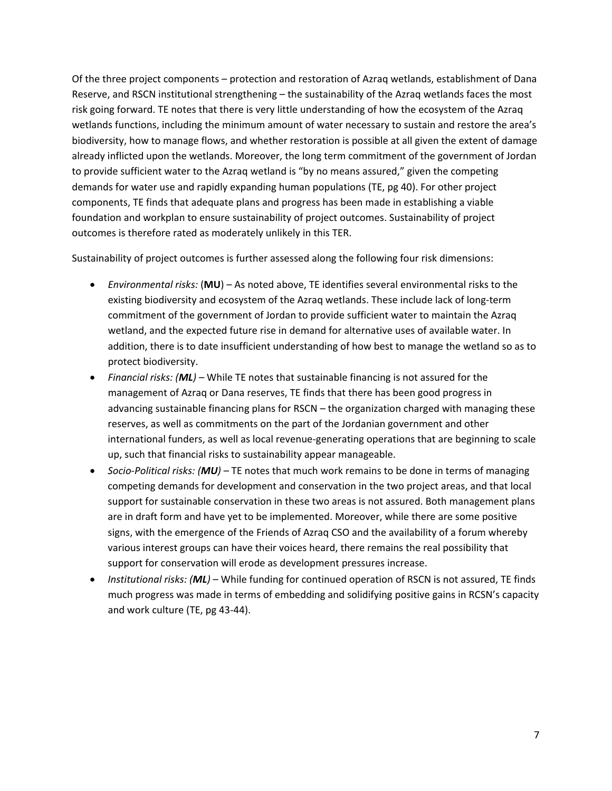Of the three project components – protection and restoration of Azraq wetlands, establishment of Dana Reserve, and RSCN institutional strengthening – the sustainability of the Azraq wetlands faces the most risk going forward. TE notes that there is very little understanding of how the ecosystem of the Azraq wetlands functions, including the minimum amount of water necessary to sustain and restore the area's biodiversity, how to manage flows, and whether restoration is possible at all given the extent of damage already inflicted upon the wetlands. Moreover, the long term commitment of the government of Jordan to provide sufficient water to the Azraq wetland is "by no means assured," given the competing demands for water use and rapidly expanding human populations (TE, pg 40). For other project components, TE finds that adequate plans and progress has been made in establishing a viable foundation and workplan to ensure sustainability of project outcomes. Sustainability of project outcomes is therefore rated as moderately unlikely in this TER.

Sustainability of project outcomes is further assessed along the following four risk dimensions:

- *Environmental risks:* (**MU**) As noted above, TE identifies several environmental risks to the existing biodiversity and ecosystem of the Azraq wetlands. These include lack of long-term commitment of the government of Jordan to provide sufficient water to maintain the Azraq wetland, and the expected future rise in demand for alternative uses of available water. In addition, there is to date insufficient understanding of how best to manage the wetland so as to protect biodiversity.
- *Financial risks: (ML)* While TE notes that sustainable financing is not assured for the management of Azraq or Dana reserves, TE finds that there has been good progress in advancing sustainable financing plans for RSCN – the organization charged with managing these reserves, as well as commitments on the part of the Jordanian government and other international funders, as well as local revenue-generating operations that are beginning to scale up, such that financial risks to sustainability appear manageable.
- *Socio-Political risks: (MU)* TE notes that much work remains to be done in terms of managing competing demands for development and conservation in the two project areas, and that local support for sustainable conservation in these two areas is not assured. Both management plans are in draft form and have yet to be implemented. Moreover, while there are some positive signs, with the emergence of the Friends of Azraq CSO and the availability of a forum whereby various interest groups can have their voices heard, there remains the real possibility that support for conservation will erode as development pressures increase.
- *Institutional risks: (ML)* While funding for continued operation of RSCN is not assured, TE finds much progress was made in terms of embedding and solidifying positive gains in RCSN's capacity and work culture (TE, pg 43-44).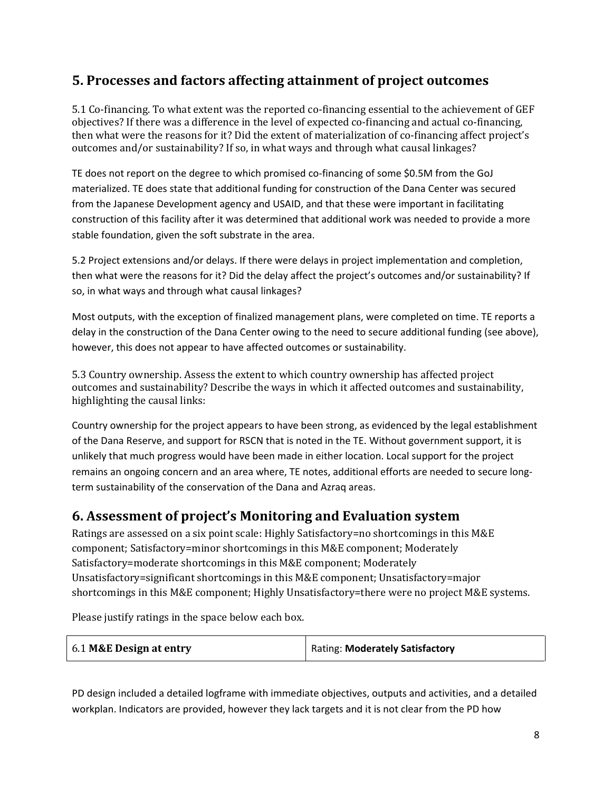## **5. Processes and factors affecting attainment of project outcomes**

5.1 Co-financing. To what extent was the reported co-financing essential to the achievement of GEF objectives? If there was a difference in the level of expected co-financing and actual co-financing, then what were the reasons for it? Did the extent of materialization of co-financing affect project's outcomes and/or sustainability? If so, in what ways and through what causal linkages?

TE does not report on the degree to which promised co-financing of some \$0.5M from the GoJ materialized. TE does state that additional funding for construction of the Dana Center was secured from the Japanese Development agency and USAID, and that these were important in facilitating construction of this facility after it was determined that additional work was needed to provide a more stable foundation, given the soft substrate in the area.

5.2 Project extensions and/or delays. If there were delays in project implementation and completion, then what were the reasons for it? Did the delay affect the project's outcomes and/or sustainability? If so, in what ways and through what causal linkages?

Most outputs, with the exception of finalized management plans, were completed on time. TE reports a delay in the construction of the Dana Center owing to the need to secure additional funding (see above), however, this does not appear to have affected outcomes or sustainability.

5.3 Country ownership. Assess the extent to which country ownership has affected project outcomes and sustainability? Describe the ways in which it affected outcomes and sustainability, highlighting the causal links:

Country ownership for the project appears to have been strong, as evidenced by the legal establishment of the Dana Reserve, and support for RSCN that is noted in the TE. Without government support, it is unlikely that much progress would have been made in either location. Local support for the project remains an ongoing concern and an area where, TE notes, additional efforts are needed to secure longterm sustainability of the conservation of the Dana and Azraq areas.

### **6. Assessment of project's Monitoring and Evaluation system**

Ratings are assessed on a six point scale: Highly Satisfactory=no shortcomings in this M&E component; Satisfactory=minor shortcomings in this M&E component; Moderately Satisfactory=moderate shortcomings in this M&E component; Moderately Unsatisfactory=significant shortcomings in this M&E component; Unsatisfactory=major shortcomings in this M&E component; Highly Unsatisfactory=there were no project M&E systems.

Please justify ratings in the space below each box.

| 6.1 M&E Design at entry | Rating: Moderately Satisfactory |
|-------------------------|---------------------------------|
|-------------------------|---------------------------------|

PD design included a detailed logframe with immediate objectives, outputs and activities, and a detailed workplan. Indicators are provided, however they lack targets and it is not clear from the PD how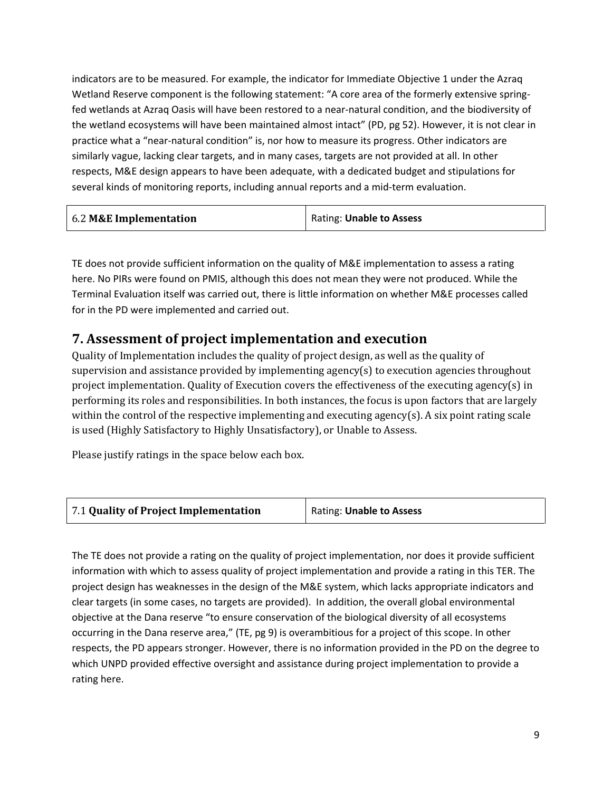indicators are to be measured. For example, the indicator for Immediate Objective 1 under the Azraq Wetland Reserve component is the following statement: "A core area of the formerly extensive springfed wetlands at Azraq Oasis will have been restored to a near-natural condition, and the biodiversity of the wetland ecosystems will have been maintained almost intact" (PD, pg 52). However, it is not clear in practice what a "near-natural condition" is, nor how to measure its progress. Other indicators are similarly vague, lacking clear targets, and in many cases, targets are not provided at all. In other respects, M&E design appears to have been adequate, with a dedicated budget and stipulations for several kinds of monitoring reports, including annual reports and a mid-term evaluation.

| 6.2 M&E Implementation<br>Rating: Unable to Assess |
|----------------------------------------------------|
|----------------------------------------------------|

TE does not provide sufficient information on the quality of M&E implementation to assess a rating here. No PIRs were found on PMIS, although this does not mean they were not produced. While the Terminal Evaluation itself was carried out, there is little information on whether M&E processes called for in the PD were implemented and carried out.

## **7. Assessment of project implementation and execution**

Quality of Implementation includes the quality of project design, as well as the quality of supervision and assistance provided by implementing agency(s) to execution agencies throughout project implementation. Quality of Execution covers the effectiveness of the executing agency(s) in performing its roles and responsibilities. In both instances, the focus is upon factors that are largely within the control of the respective implementing and executing agency(s). A six point rating scale is used (Highly Satisfactory to Highly Unsatisfactory), or Unable to Assess.

Please justify ratings in the space below each box.



The TE does not provide a rating on the quality of project implementation, nor does it provide sufficient information with which to assess quality of project implementation and provide a rating in this TER. The project design has weaknesses in the design of the M&E system, which lacks appropriate indicators and clear targets (in some cases, no targets are provided). In addition, the overall global environmental objective at the Dana reserve "to ensure conservation of the biological diversity of all ecosystems occurring in the Dana reserve area," (TE, pg 9) is overambitious for a project of this scope. In other respects, the PD appears stronger. However, there is no information provided in the PD on the degree to which UNPD provided effective oversight and assistance during project implementation to provide a rating here.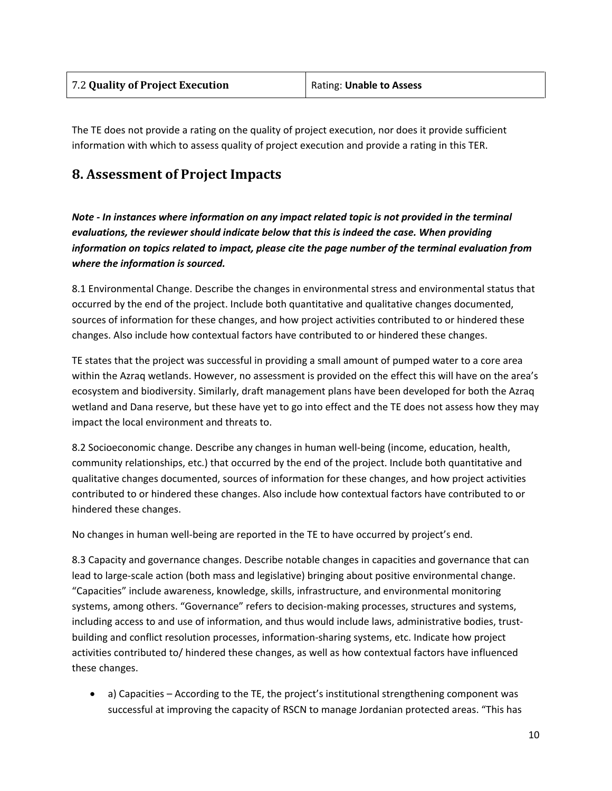The TE does not provide a rating on the quality of project execution, nor does it provide sufficient information with which to assess quality of project execution and provide a rating in this TER.

### **8. Assessment of Project Impacts**

*Note - In instances where information on any impact related topic is not provided in the terminal evaluations, the reviewer should indicate below that this is indeed the case. When providing information on topics related to impact, please cite the page number of the terminal evaluation from where the information is sourced.* 

8.1 Environmental Change. Describe the changes in environmental stress and environmental status that occurred by the end of the project. Include both quantitative and qualitative changes documented, sources of information for these changes, and how project activities contributed to or hindered these changes. Also include how contextual factors have contributed to or hindered these changes.

TE states that the project was successful in providing a small amount of pumped water to a core area within the Azraq wetlands. However, no assessment is provided on the effect this will have on the area's ecosystem and biodiversity. Similarly, draft management plans have been developed for both the Azraq wetland and Dana reserve, but these have yet to go into effect and the TE does not assess how they may impact the local environment and threats to.

8.2 Socioeconomic change. Describe any changes in human well-being (income, education, health, community relationships, etc.) that occurred by the end of the project. Include both quantitative and qualitative changes documented, sources of information for these changes, and how project activities contributed to or hindered these changes. Also include how contextual factors have contributed to or hindered these changes.

No changes in human well-being are reported in the TE to have occurred by project's end.

8.3 Capacity and governance changes. Describe notable changes in capacities and governance that can lead to large-scale action (both mass and legislative) bringing about positive environmental change. "Capacities" include awareness, knowledge, skills, infrastructure, and environmental monitoring systems, among others. "Governance" refers to decision-making processes, structures and systems, including access to and use of information, and thus would include laws, administrative bodies, trustbuilding and conflict resolution processes, information-sharing systems, etc. Indicate how project activities contributed to/ hindered these changes, as well as how contextual factors have influenced these changes.

• a) Capacities – According to the TE, the project's institutional strengthening component was successful at improving the capacity of RSCN to manage Jordanian protected areas. "This has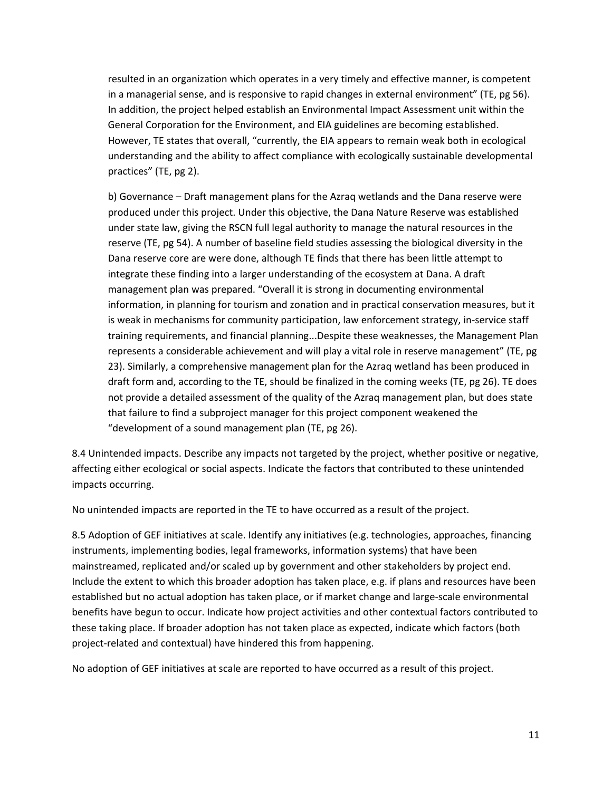resulted in an organization which operates in a very timely and effective manner, is competent in a managerial sense, and is responsive to rapid changes in external environment" (TE, pg 56). In addition, the project helped establish an Environmental Impact Assessment unit within the General Corporation for the Environment, and EIA guidelines are becoming established. However, TE states that overall, "currently, the EIA appears to remain weak both in ecological understanding and the ability to affect compliance with ecologically sustainable developmental practices" (TE, pg 2).

b) Governance – Draft management plans for the Azraq wetlands and the Dana reserve were produced under this project. Under this objective, the Dana Nature Reserve was established under state law, giving the RSCN full legal authority to manage the natural resources in the reserve (TE, pg 54). A number of baseline field studies assessing the biological diversity in the Dana reserve core are were done, although TE finds that there has been little attempt to integrate these finding into a larger understanding of the ecosystem at Dana. A draft management plan was prepared. "Overall it is strong in documenting environmental information, in planning for tourism and zonation and in practical conservation measures, but it is weak in mechanisms for community participation, law enforcement strategy, in-service staff training requirements, and financial planning...Despite these weaknesses, the Management Plan represents a considerable achievement and will play a vital role in reserve management" (TE, pg 23). Similarly, a comprehensive management plan for the Azraq wetland has been produced in draft form and, according to the TE, should be finalized in the coming weeks (TE, pg 26). TE does not provide a detailed assessment of the quality of the Azraq management plan, but does state that failure to find a subproject manager for this project component weakened the "development of a sound management plan (TE, pg 26).

8.4 Unintended impacts. Describe any impacts not targeted by the project, whether positive or negative, affecting either ecological or social aspects. Indicate the factors that contributed to these unintended impacts occurring.

No unintended impacts are reported in the TE to have occurred as a result of the project.

8.5 Adoption of GEF initiatives at scale. Identify any initiatives (e.g. technologies, approaches, financing instruments, implementing bodies, legal frameworks, information systems) that have been mainstreamed, replicated and/or scaled up by government and other stakeholders by project end. Include the extent to which this broader adoption has taken place, e.g. if plans and resources have been established but no actual adoption has taken place, or if market change and large-scale environmental benefits have begun to occur. Indicate how project activities and other contextual factors contributed to these taking place. If broader adoption has not taken place as expected, indicate which factors (both project-related and contextual) have hindered this from happening.

No adoption of GEF initiatives at scale are reported to have occurred as a result of this project.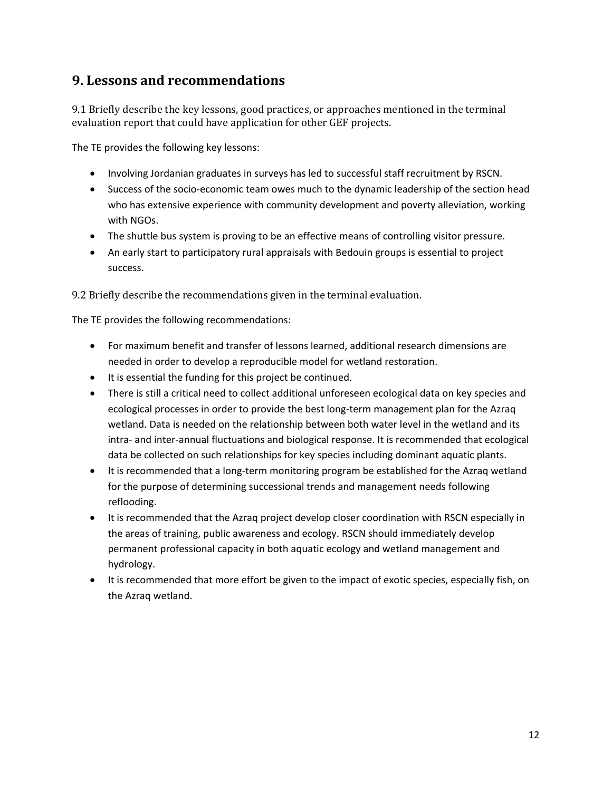### **9. Lessons and recommendations**

9.1 Briefly describe the key lessons, good practices, or approaches mentioned in the terminal evaluation report that could have application for other GEF projects.

The TE provides the following key lessons:

- Involving Jordanian graduates in surveys has led to successful staff recruitment by RSCN.
- Success of the socio-economic team owes much to the dynamic leadership of the section head who has extensive experience with community development and poverty alleviation, working with NGOs.
- The shuttle bus system is proving to be an effective means of controlling visitor pressure.
- An early start to participatory rural appraisals with Bedouin groups is essential to project success.

9.2 Briefly describe the recommendations given in the terminal evaluation.

The TE provides the following recommendations:

- For maximum benefit and transfer of lessons learned, additional research dimensions are needed in order to develop a reproducible model for wetland restoration.
- It is essential the funding for this project be continued.
- There is still a critical need to collect additional unforeseen ecological data on key species and ecological processes in order to provide the best long-term management plan for the Azraq wetland. Data is needed on the relationship between both water level in the wetland and its intra- and inter-annual fluctuations and biological response. It is recommended that ecological data be collected on such relationships for key species including dominant aquatic plants.
- It is recommended that a long-term monitoring program be established for the Azraq wetland for the purpose of determining successional trends and management needs following reflooding.
- It is recommended that the Azraq project develop closer coordination with RSCN especially in the areas of training, public awareness and ecology. RSCN should immediately develop permanent professional capacity in both aquatic ecology and wetland management and hydrology.
- It is recommended that more effort be given to the impact of exotic species, especially fish, on the Azraq wetland.